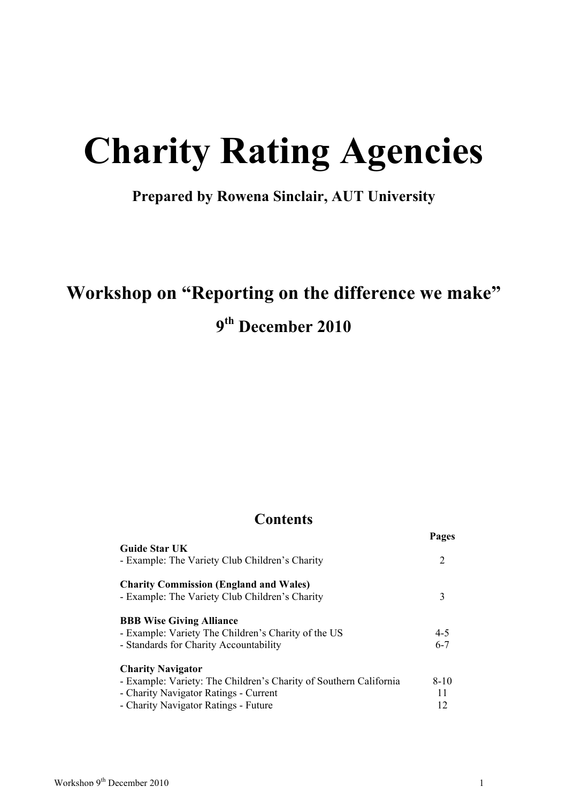# **Charity Rating Agencies**

## **Prepared by Rowena Sinclair, AUT University**

## **Workshop on "Reporting on the difference we make"**

## **9th December 2010**

## **Contents**

|                                                                   | Pages   |
|-------------------------------------------------------------------|---------|
| <b>Guide Star UK</b>                                              |         |
| - Example: The Variety Club Children's Charity                    | 2       |
| <b>Charity Commission (England and Wales)</b>                     |         |
| - Example: The Variety Club Children's Charity                    | 3       |
| <b>BBB Wise Giving Alliance</b>                                   |         |
| - Example: Variety The Children's Charity of the US               | $4 - 5$ |
| - Standards for Charity Accountability                            | $6 - 7$ |
| <b>Charity Navigator</b>                                          |         |
| - Example: Variety: The Children's Charity of Southern California | $8-10$  |
| - Charity Navigator Ratings - Current                             | 11      |
| - Charity Navigator Ratings - Future                              | 12      |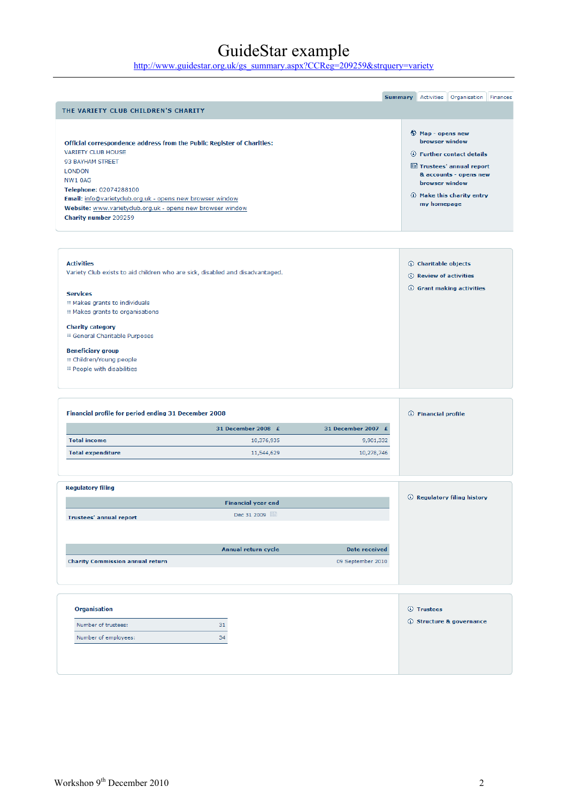## GuideStar example

http://www.guidestar.org.uk/gs\_summary.aspx?CCReg=209259&strquery=variety

| THE VARIETY CLUB CHILDREN'S CHARITY                                                                                                                                                                                                                                                                                                              |                                                                               |                    | <b>Summary</b><br>Activities   Organisation   Finances                      |
|--------------------------------------------------------------------------------------------------------------------------------------------------------------------------------------------------------------------------------------------------------------------------------------------------------------------------------------------------|-------------------------------------------------------------------------------|--------------------|-----------------------------------------------------------------------------|
|                                                                                                                                                                                                                                                                                                                                                  |                                                                               |                    |                                                                             |
| Official correspondence address from the Public Register of Charities:<br><b>VARIETY CLUB HOUSE</b><br>93 BAYHAM STREET                                                                                                                                                                                                                          |                                                                               |                    | $\mathbb{S}$ Map - opens new<br>browser window<br>4 Further contact details |
| <b>LONDON</b><br>NW1 0AG                                                                                                                                                                                                                                                                                                                         |                                                                               |                    | <b>Trustees' annual report</b><br>& accounts - opens new<br>browser window  |
| Telephone: 02074288100<br>Email: info@varietyclub.org.uk - opens new browser window                                                                                                                                                                                                                                                              |                                                                               |                    | 4 Make this charity entry                                                   |
| Website: www.varietyclub.org.uk - opens new browser window<br>Charity number 209259                                                                                                                                                                                                                                                              |                                                                               |                    | my homepage                                                                 |
|                                                                                                                                                                                                                                                                                                                                                  |                                                                               |                    |                                                                             |
| <b>Activities</b>                                                                                                                                                                                                                                                                                                                                | Variety Club exists to aid children who are sick, disabled and disadvantaged. |                    | <b>(i)</b> Charitable objects                                               |
|                                                                                                                                                                                                                                                                                                                                                  |                                                                               |                    | (i) Review of activities<br><b><i>(i)</i></b> Grant making activities       |
| <b>Services</b><br>Makes grants to individuals<br>Makes grants to organisations                                                                                                                                                                                                                                                                  |                                                                               |                    |                                                                             |
| <b>Charity category</b><br>General Charitable Purposes                                                                                                                                                                                                                                                                                           |                                                                               |                    |                                                                             |
|                                                                                                                                                                                                                                                                                                                                                  |                                                                               |                    |                                                                             |
|                                                                                                                                                                                                                                                                                                                                                  |                                                                               |                    |                                                                             |
|                                                                                                                                                                                                                                                                                                                                                  |                                                                               |                    | <b><i>S</i></b> Financial profile                                           |
|                                                                                                                                                                                                                                                                                                                                                  | 31 December 2008 £                                                            | 31 December 2007 £ |                                                                             |
|                                                                                                                                                                                                                                                                                                                                                  | 10,376,935                                                                    | 9,901,332          |                                                                             |
|                                                                                                                                                                                                                                                                                                                                                  | 11,544,629                                                                    | 10,278,746         |                                                                             |
|                                                                                                                                                                                                                                                                                                                                                  |                                                                               |                    |                                                                             |
|                                                                                                                                                                                                                                                                                                                                                  | <b>Financial year end</b>                                                     |                    | <b>W</b> Regulatory filing history                                          |
|                                                                                                                                                                                                                                                                                                                                                  | Dec 31 2009                                                                   |                    |                                                                             |
|                                                                                                                                                                                                                                                                                                                                                  |                                                                               |                    |                                                                             |
|                                                                                                                                                                                                                                                                                                                                                  | Annual return cycle                                                           | Date received      |                                                                             |
|                                                                                                                                                                                                                                                                                                                                                  |                                                                               | 09 September 2010  |                                                                             |
|                                                                                                                                                                                                                                                                                                                                                  |                                                                               |                    |                                                                             |
| <b>Organisation</b>                                                                                                                                                                                                                                                                                                                              |                                                                               |                    | <b><i>O</i></b> Trustees                                                    |
| <b>Beneficiary group</b><br>Children/Young people<br>People with disabilities<br>Financial profile for period ending 31 December 2008<br><b>Total income</b><br><b>Total expenditure</b><br><b>Regulatory filing</b><br><b>Trustees' annual report</b><br><b>Charity Commission annual return</b><br>Number of trustees:<br>Number of employees: | 31<br>34                                                                      |                    | 6 Structure & governance                                                    |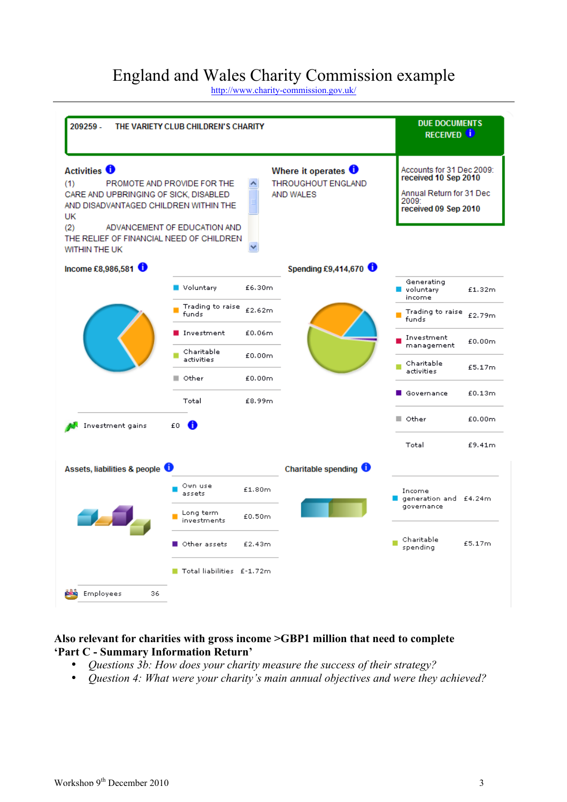## England and Wales Charity Commission example

http://www.charity-commission.gov.uk/



## **Also relevant for charities with gross income >GBP1 million that need to complete 'Part C - Summary Information Return'**

- *Questions 3b: How does your charity measure the success of their strategy?*
- *Question 4: What were your charity's main annual objectives and were they achieved?*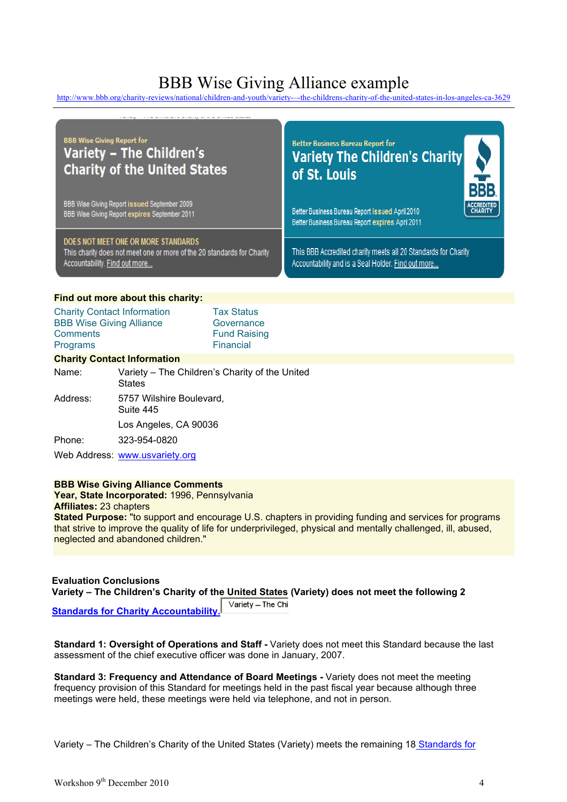## BBB Wise Giving Alliance example

http://www.bbb.org/charity-reviews/national/children-and-youth/variety-–-the-childrens-charity-of-the-united-states-in-los-angeles-ca-3629

| <b>BBB Wise Giving Report for</b><br>Variety - The Children's<br><b>Charity of the United States</b>                                           | <b>Better Business Bureau Report for</b><br><b>Variety The Children's Charity</b><br>of St. Louis<br>BBB                           |
|------------------------------------------------------------------------------------------------------------------------------------------------|------------------------------------------------------------------------------------------------------------------------------------|
| BBB Wise Giving Report issued September 2009<br>BBB Wise Giving Report expires September 2011                                                  | <b>ACCREDITED</b><br>Better Business Bureau Report issued April 2010<br>CHARIT<br>Better Business Bureau Report expires April 2011 |
| DOES NOT MEET ONE OR MORE STANDARDS<br>This charity does not meet one or more of the 20 standards for Charity<br>Accountability. Find out more | This BBB Accredited charity meets all 20 Standards for Charity<br>Accountability and is a Seal Holder. Find out more               |

#### **Find out more about this charity:**

| <b>Charity Contact Information</b><br><b>BBB Wise Giving Alliance</b><br>Comments<br><b>Programs</b> |                                       | <b>Tax Status</b><br>Governance<br><b>Fund Raising</b><br>Financial |
|------------------------------------------------------------------------------------------------------|---------------------------------------|---------------------------------------------------------------------|
|                                                                                                      | <b>Charity Contact Information</b>    |                                                                     |
| Name:                                                                                                | <b>States</b>                         | Variety - The Children's Charity of the United                      |
| Address:                                                                                             | 5757 Wilshire Boulevard,<br>Suite 445 |                                                                     |
|                                                                                                      | Los Angeles, CA 90036                 |                                                                     |
| Phone:                                                                                               | 323-954-0820                          |                                                                     |
|                                                                                                      | Web Address: www.usvariety.org        |                                                                     |
|                                                                                                      |                                       |                                                                     |

#### **BBB Wise Giving Alliance Comments**

**Year, State Incorporated:** 1996, Pennsylvania

**Affiliates:** 23 chapters

**Stated Purpose:** "to support and encourage U.S. chapters in providing funding and services for programs that strive to improve the quality of life for underprivileged, physical and mentally challenged, ill, abused, neglected and abandoned children."

## **Evaluation Conclusions Variety – The Children's Charity of the United States (Variety) does not meet the following 2**

**Standards for Charity Accountability.**

Variety - The Chi

**Standard 1: Oversight of Operations and Staff -** Variety does not meet this Standard because the last assessment of the chief executive officer was done in January, 2007.

**Standard 3: Frequency and Attendance of Board Meetings - Variety does not meet the meeting** frequency provision of this Standard for meetings held in the past fiscal year because although three meetings were held, these meetings were held via telephone, and not in person.

Variety – The Children's Charity of the United States (Variety) meets the remaining 18 Standards for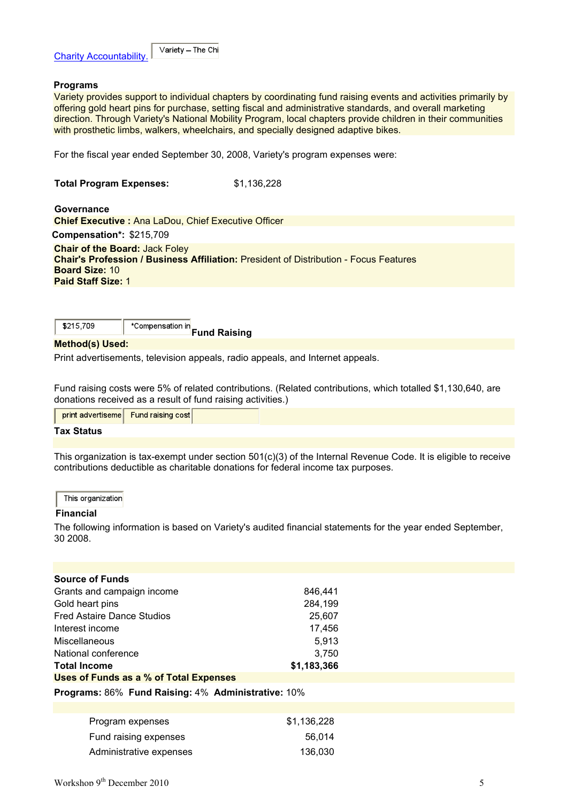

#### **Programs**

Variety provides support to individual chapters by coordinating fund raising events and activities primarily by offering gold heart pins for purchase, setting fiscal and administrative standards, and overall marketing direction. Through Variety's National Mobility Program, local chapters provide children in their communities with prosthetic limbs, walkers, wheelchairs, and specially designed adaptive bikes.

For the fiscal year ended September 30, 2008, Variety's program expenses were:

**Total Program Expenses:** \$1,136,228

## **Governance**

**Chief Executive :** Ana LaDou, Chief Executive Officer

**Compensation\*:** \$215,709

**Chair of the Board:** Jack Foley **Chair's Profession / Business Affiliation:** President of Distribution - Focus Features **Board Size:** 10

**Paid Staff Size:** 1

\$215,709

**Fund Raising**<br>Fund Raising

#### **Method(s) Used:**

Print advertisements, television appeals, radio appeals, and Internet appeals.

Fund raising costs were 5% of related contributions. (Related contributions, which totalled \$1,130,640, are donations received as a result of fund raising activities.)

|                   | print advertiseme Fund raising cost |  |  |  |
|-------------------|-------------------------------------|--|--|--|
| <b>Tax Status</b> |                                     |  |  |  |
|                   |                                     |  |  |  |

This organization is tax-exempt under section 501(c)(3) of the Internal Revenue Code. It is eligible to receive contributions deductible as charitable donations for federal income tax purposes.

## **Financial**<br>Financial

The following information is based on Variety's audited financial statements for the year ended September, 30 2008.

| <b>Source of Funds</b>                                    |             |
|-----------------------------------------------------------|-------------|
| Grants and campaign income                                | 846,441     |
| Gold heart pins                                           | 284,199     |
| <b>Fred Astaire Dance Studios</b>                         | 25,607      |
| Interest income                                           | 17,456      |
| Miscellaneous                                             | 5,913       |
| National conference                                       | 3,750       |
| Total Income                                              | \$1,183,366 |
| <b>Uses of Funds as a % of Total Expenses</b>             |             |
| <b>Programs: 86% Fund Raising: 4% Administrative: 10%</b> |             |

| Program expenses        | \$1,136,228 |
|-------------------------|-------------|
| Fund raising expenses   | 56.014      |
| Administrative expenses | 136.030     |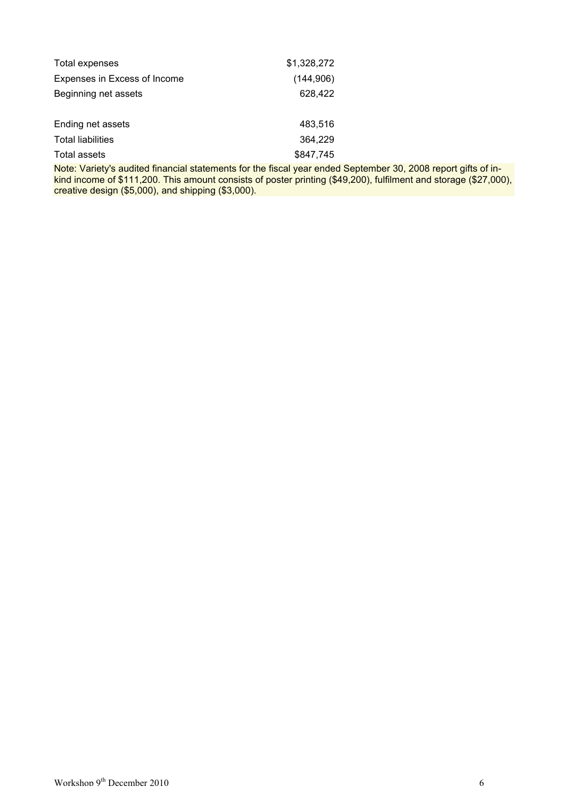| Total expenses               | \$1,328,272 |
|------------------------------|-------------|
| Expenses in Excess of Income | (144, 906)  |
| Beginning net assets         | 628,422     |
|                              |             |
| Ending net assets            | 483,516     |
| <b>Total liabilities</b>     | 364.229     |
| Total assets                 | \$847,745   |

Note: Variety's audited financial statements for the fiscal year ended September 30, 2008 report gifts of inkind income of \$111,200. This amount consists of poster printing (\$49,200), fulfilment and storage (\$27,000), creative design (\$5,000), and shipping (\$3,000).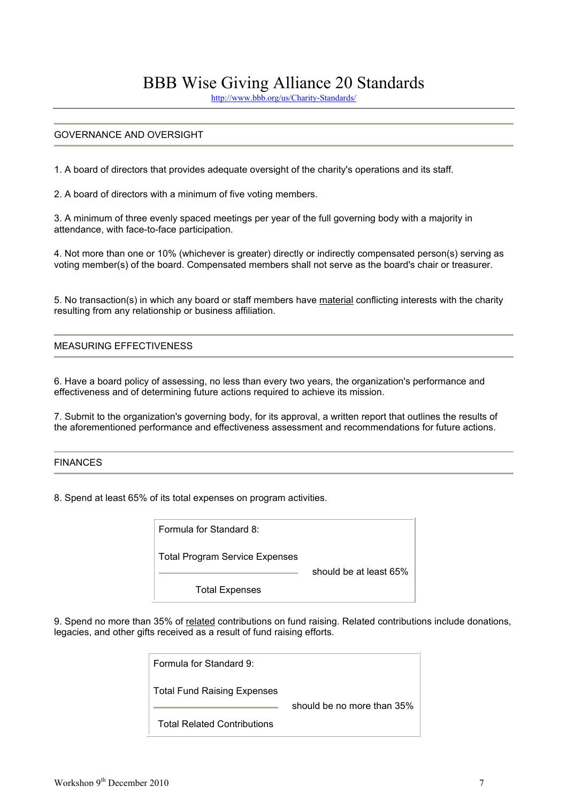## BBB Wise Giving Alliance 20 Standards

http://www.bbb.org/us/Charity-Standards/

#### GOVERNANCE AND OVERSIGHT

1. A board of directors that provides adequate oversight of the charity's operations and its staff.

2. A board of directors with a minimum of five voting members.

3. A minimum of three evenly spaced meetings per year of the full governing body with a majority in attendance, with face-to-face participation.

4. Not more than one or 10% (whichever is greater) directly or indirectly compensated person(s) serving as voting member(s) of the board. Compensated members shall not serve as the board's chair or treasurer.

5. No transaction(s) in which any board or staff members have material conflicting interests with the charity resulting from any relationship or business affiliation.

MEASURING EFFECTIVENESS

6. Have a board policy of assessing, no less than every two years, the organization's performance and effectiveness and of determining future actions required to achieve its mission.

7. Submit to the organization's governing body, for its approval, a written report that outlines the results of the aforementioned performance and effectiveness assessment and recommendations for future actions.

#### FINANCES

8. Spend at least 65% of its total expenses on program activities.

| Formula for Standard 8:               |                        |
|---------------------------------------|------------------------|
| <b>Total Program Service Expenses</b> | should be at least 65% |
| <b>Total Expenses</b>                 |                        |

9. Spend no more than 35% of related contributions on fund raising. Related contributions include donations, legacies, and other gifts received as a result of fund raising efforts.

| Formula for Standard 9:            |                            |
|------------------------------------|----------------------------|
| <b>Total Fund Raising Expenses</b> | should be no more than 35% |
| <b>Total Related Contributions</b> |                            |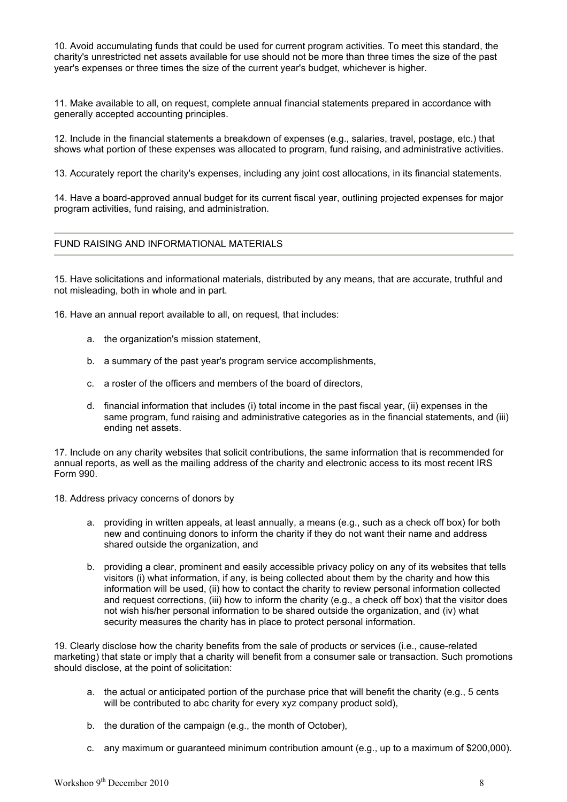10. Avoid accumulating funds that could be used for current program activities. To meet this standard, the charity's unrestricted net assets available for use should not be more than three times the size of the past year's expenses or three times the size of the current year's budget, whichever is higher.

11. Make available to all, on request, complete annual financial statements prepared in accordance with generally accepted accounting principles.

12. Include in the financial statements a breakdown of expenses (e.g., salaries, travel, postage, etc.) that shows what portion of these expenses was allocated to program, fund raising, and administrative activities.

13. Accurately report the charity's expenses, including any joint cost allocations, in its financial statements.

14. Have a board-approved annual budget for its current fiscal year, outlining projected expenses for major program activities, fund raising, and administration.

#### FUND RAISING AND INFORMATIONAL MATERIALS

15. Have solicitations and informational materials, distributed by any means, that are accurate, truthful and not misleading, both in whole and in part.

16. Have an annual report available to all, on request, that includes:

- a. the organization's mission statement,
- b. a summary of the past year's program service accomplishments,
- c. a roster of the officers and members of the board of directors,
- d. financial information that includes (i) total income in the past fiscal year, (ii) expenses in the same program, fund raising and administrative categories as in the financial statements, and (iii) ending net assets.

17. Include on any charity websites that solicit contributions, the same information that is recommended for annual reports, as well as the mailing address of the charity and electronic access to its most recent IRS Form 990.

- 18. Address privacy concerns of donors by
	- a. providing in written appeals, at least annually, a means (e.g., such as a check off box) for both new and continuing donors to inform the charity if they do not want their name and address shared outside the organization, and
	- b. providing a clear, prominent and easily accessible privacy policy on any of its websites that tells visitors (i) what information, if any, is being collected about them by the charity and how this information will be used, (ii) how to contact the charity to review personal information collected and request corrections, (iii) how to inform the charity (e.g., a check off box) that the visitor does not wish his/her personal information to be shared outside the organization, and (iv) what security measures the charity has in place to protect personal information.

19. Clearly disclose how the charity benefits from the sale of products or services (i.e., cause-related marketing) that state or imply that a charity will benefit from a consumer sale or transaction. Such promotions should disclose, at the point of solicitation:

- a. the actual or anticipated portion of the purchase price that will benefit the charity (e.g., 5 cents will be contributed to abc charity for every xyz company product sold).
- b. the duration of the campaign (e.g., the month of October),
- c. any maximum or guaranteed minimum contribution amount (e.g., up to a maximum of \$200,000).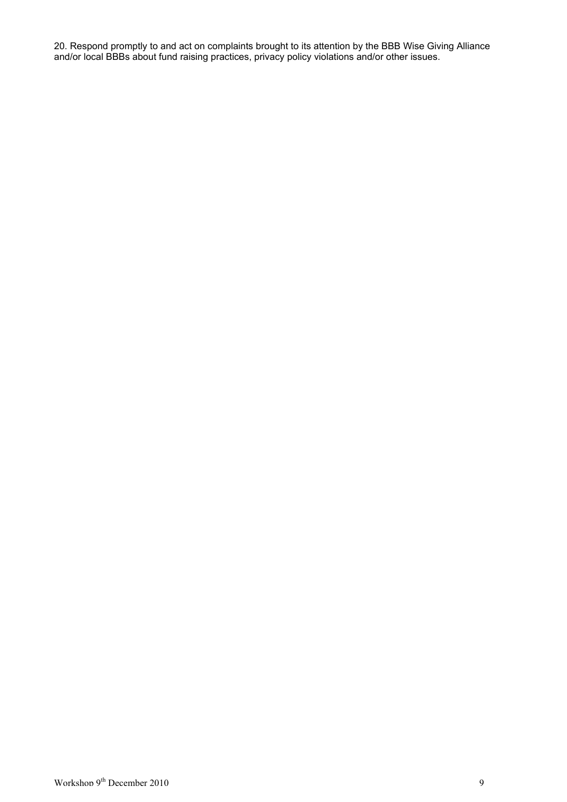20. Respond promptly to and act on complaints brought to its attention by the BBB Wise Giving Alliance and/or local BBBs about fund raising practices, privacy policy violations and/or other issues.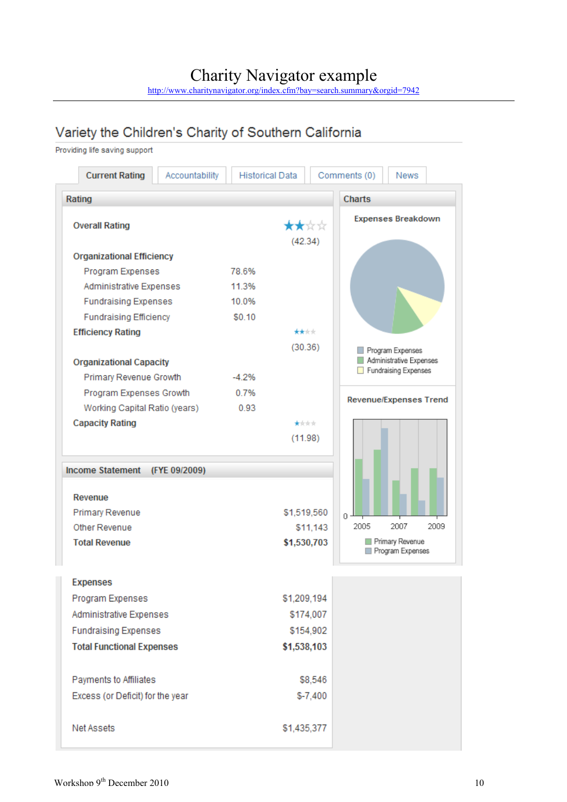## Variety the Children's Charity of Southern California

Providing life saving support

**Current Rating** Accountability **Historical Data** Comments (0) **News** Rating **Charts Expenses Breakdown Overall Rating** ★★☆☆  $(42.34)$ **Organizational Efficiency** Program Expenses 78.6% Administrative Expenses 11.3% **Fundraising Expenses** 10.0% **Fundraising Efficiency** \$0.10 **Efficiency Rating** \*\*\*\*  $(30.36)$ Program Expenses Administrative Expenses **Organizational Capacity** Fundraising Expenses Primary Revenue Growth  $-4.2%$ Program Expenses Growth 0.7% **Revenue/Expenses Trend** Working Capital Ratio (years) 0.93 **Capacity Rating** \*\*\*\*  $(11.98)$ Income Statement (FYE 09/2009) Revenue **Primary Revenue** \$1,519,560  $\overline{0}$ 2005 2007 Other Revenue \$11.143 2009 Primary Revenue **Total Revenue** \$1,530,703 Program Expenses **Expenses** Program Expenses \$1,209,194 Administrative Expenses \$174,007 **Fundraising Expenses** \$154,902 **Total Functional Expenses** \$1,538,103 Payments to Affiliates \$8.546 Excess (or Deficit) for the year  $$-7.400$ Net Assets \$1,435,377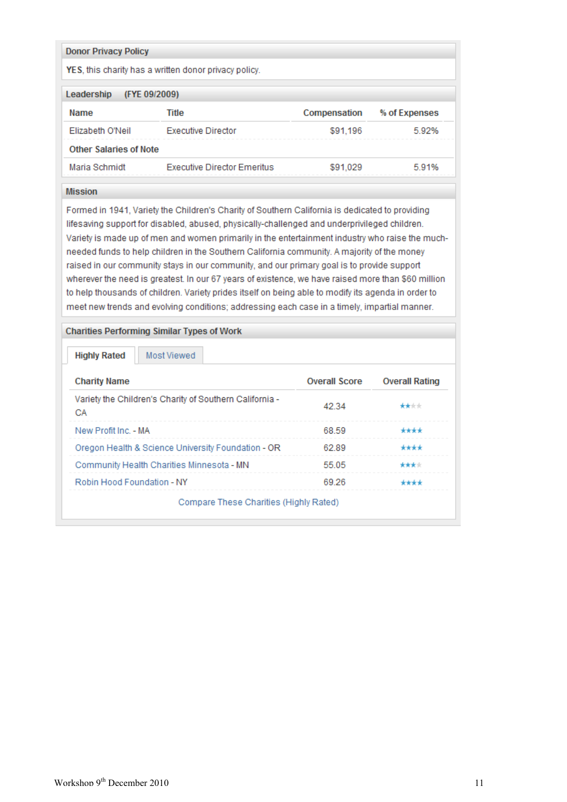| Leadership                    | (FYE 09/2009)                                                                                                                                                                                                                                                                                                                                                                                           |                      |                       |
|-------------------------------|---------------------------------------------------------------------------------------------------------------------------------------------------------------------------------------------------------------------------------------------------------------------------------------------------------------------------------------------------------------------------------------------------------|----------------------|-----------------------|
| Name                          | Title                                                                                                                                                                                                                                                                                                                                                                                                   | Compensation         | % of Expenses         |
| Elizabeth O'Neil              | <b>Executive Director</b>                                                                                                                                                                                                                                                                                                                                                                               | \$91.196             | 5.92%                 |
| <b>Other Salaries of Note</b> |                                                                                                                                                                                                                                                                                                                                                                                                         |                      |                       |
| Maria Schmidt                 | <b>Executive Director Emeritus</b>                                                                                                                                                                                                                                                                                                                                                                      | \$91,029             | 591%                  |
| <b>Mission</b>                |                                                                                                                                                                                                                                                                                                                                                                                                         |                      |                       |
|                               | Variety is made up of men and women primarily in the entertainment industry who raise the much-<br>needed funds to help children in the Southern California community. A majority of the money                                                                                                                                                                                                          |                      |                       |
|                               | raised in our community stays in our community, and our primary goal is to provide support<br>wherever the need is greatest. In our 67 years of existence, we have raised more than \$60 million<br>to help thousands of children. Variety prides itself on being able to modify its agenda in order to<br>meet new trends and evolving conditions; addressing each case in a timely, impartial manner. |                      |                       |
|                               | <b>Charities Performing Similar Types of Work</b>                                                                                                                                                                                                                                                                                                                                                       |                      |                       |
| <b>Highly Rated</b>           | Most Viewed                                                                                                                                                                                                                                                                                                                                                                                             |                      |                       |
| <b>Charity Name</b>           |                                                                                                                                                                                                                                                                                                                                                                                                         | <b>Overall Score</b> | <b>Overall Rating</b> |
| СA                            | Variety the Children's Charity of Southern California -                                                                                                                                                                                                                                                                                                                                                 | 42.34                | ★★☆☆                  |
| New Profit Inc. - MA          |                                                                                                                                                                                                                                                                                                                                                                                                         | 68.59                | ****                  |
|                               | Oregon Health & Science University Foundation - OR                                                                                                                                                                                                                                                                                                                                                      | 62.89                | ****                  |
|                               | Community Health Charities Minnesota - MN                                                                                                                                                                                                                                                                                                                                                               | 55.05                | ****                  |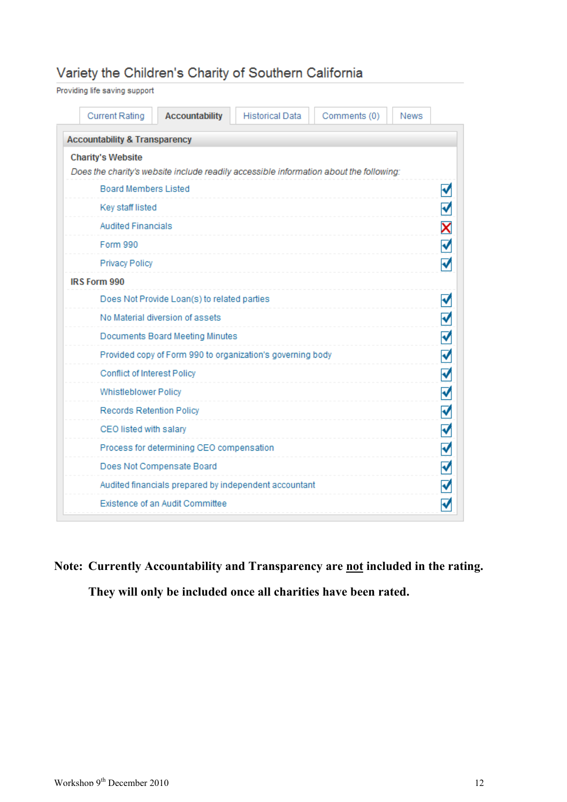## Variety the Children's Charity of Southern California

Providing life saving support

| <b>Current Rating</b><br><b>Accountability</b><br><b>Historical Data</b><br>Comments (0) | <b>News</b>          |
|------------------------------------------------------------------------------------------|----------------------|
| <b>Accountability &amp; Transparency</b>                                                 |                      |
| <b>Charity's Website</b>                                                                 |                      |
| Does the charity's website include readily accessible information about the following:   |                      |
| <b>Board Members Listed</b>                                                              |                      |
| Key staff listed                                                                         | ✔                    |
| <b>Audited Financials</b>                                                                | X                    |
| Form 990                                                                                 | ✔                    |
| <b>Privacy Policy</b>                                                                    | √                    |
| <b>IRS Form 990</b>                                                                      |                      |
| Does Not Provide Loan(s) to related parties                                              |                      |
| No Material diversion of assets                                                          | ✔                    |
| Documents Board Meeting Minutes                                                          | ✔                    |
| Provided copy of Form 990 to organization's governing body                               | ✔                    |
| Conflict of Interest Policy                                                              | $\blacklozenge$      |
| <b>Whistleblower Policy</b>                                                              | ✔                    |
| <b>Records Retention Policy</b>                                                          | ✔                    |
| CEO listed with salary                                                                   | $\blacktriangledown$ |
| Process for determining CEO compensation                                                 | ✔                    |
| Does Not Compensate Board                                                                | ✔                    |
| Audited financials prepared by independent accountant                                    |                      |
| Existence of an Audit Committee                                                          |                      |

Note: Currently Accountability and Transparency are **not** included in the rating.

**They will only be included once all charities have been rated.**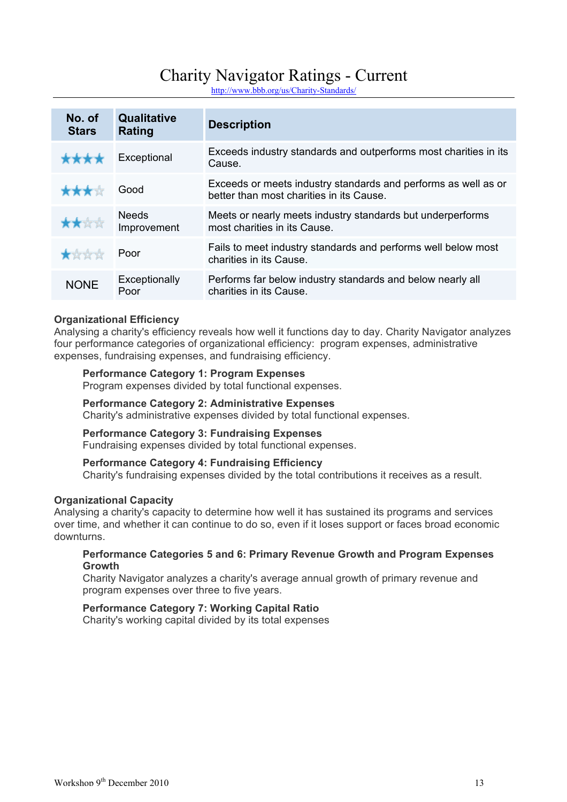## Charity Navigator Ratings - Current

http://www.bbb.org/us/Charity-Standards/

| No. of<br><b>Stars</b> | Qualitative<br>Rating       | <b>Description</b>                                                                                         |
|------------------------|-----------------------------|------------------------------------------------------------------------------------------------------------|
|                        | Exceptional                 | Exceeds industry standards and outperforms most charities in its<br>Cause.                                 |
|                        | Good                        | Exceeds or meets industry standards and performs as well as or<br>better than most charities in its Cause. |
| ****                   | <b>Needs</b><br>Improvement | Meets or nearly meets industry standards but underperforms<br>most charities in its Cause.                 |
| ****                   | Poor                        | Fails to meet industry standards and performs well below most<br>charities in its Cause.                   |
| <b>NONF</b>            | Exceptionally<br>Poor       | Performs far below industry standards and below nearly all<br>charities in its Cause.                      |

### **Organizational Efficiency**

Analysing a charity's efficiency reveals how well it functions day to day. Charity Navigator analyzes four performance categories of organizational efficiency: program expenses, administrative expenses, fundraising expenses, and fundraising efficiency.

#### **Performance Category 1: Program Expenses**

Program expenses divided by total functional expenses.

### **Performance Category 2: Administrative Expenses**

Charity's administrative expenses divided by total functional expenses.

#### **Performance Category 3: Fundraising Expenses**

Fundraising expenses divided by total functional expenses.

## **Performance Category 4: Fundraising Efficiency**

Charity's fundraising expenses divided by the total contributions it receives as a result.

#### **Organizational Capacity**

Analysing a charity's capacity to determine how well it has sustained its programs and services over time, and whether it can continue to do so, even if it loses support or faces broad economic downturns.

#### **Performance Categories 5 and 6: Primary Revenue Growth and Program Expenses Growth**

Charity Navigator analyzes a charity's average annual growth of primary revenue and program expenses over three to five years.

### **Performance Category 7: Working Capital Ratio**

Charity's working capital divided by its total expenses